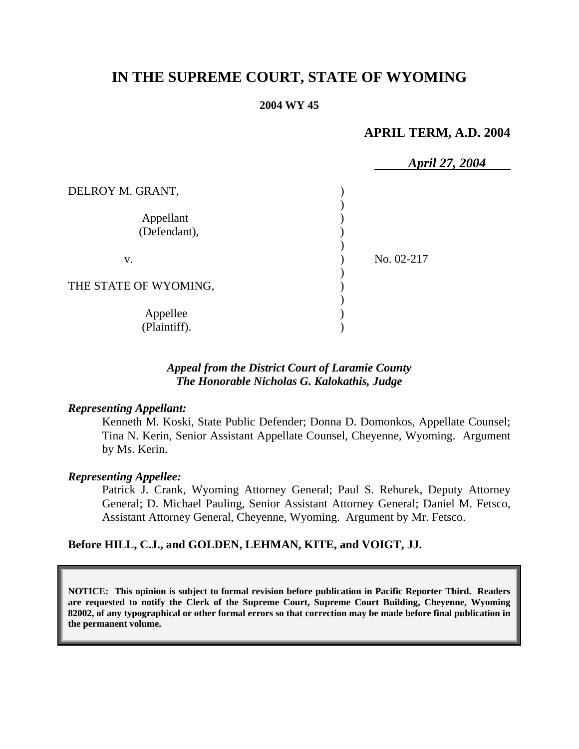# **IN THE SUPREME COURT, STATE OF WYOMING**

#### **2004 WY 45**

### **APRIL TERM, A.D. 2004**

|                           | April 27, 2004 |
|---------------------------|----------------|
| DELROY M. GRANT,          |                |
| Appellant<br>(Defendant), |                |
| V.                        | No. 02-217     |
| THE STATE OF WYOMING,     |                |
| Appellee<br>(Plaintiff).  |                |

### *Appeal from the District Court of Laramie County The Honorable Nicholas G. Kalokathis, Judge*

#### *Representing Appellant:*

Kenneth M. Koski, State Public Defender; Donna D. Domonkos, Appellate Counsel; Tina N. Kerin, Senior Assistant Appellate Counsel, Cheyenne, Wyoming. Argument by Ms. Kerin.

#### *Representing Appellee:*

Patrick J. Crank, Wyoming Attorney General; Paul S. Rehurek, Deputy Attorney General; D. Michael Pauling, Senior Assistant Attorney General; Daniel M. Fetsco, Assistant Attorney General, Cheyenne, Wyoming. Argument by Mr. Fetsco.

#### **Before HILL, C.J., and GOLDEN, LEHMAN, KITE, and VOIGT, JJ.**

**NOTICE: This opinion is subject to formal revision before publication in Pacific Reporter Third. Readers are requested to notify the Clerk of the Supreme Court, Supreme Court Building, Cheyenne, Wyoming 82002, of any typographical or other formal errors so that correction may be made before final publication in the permanent volume.**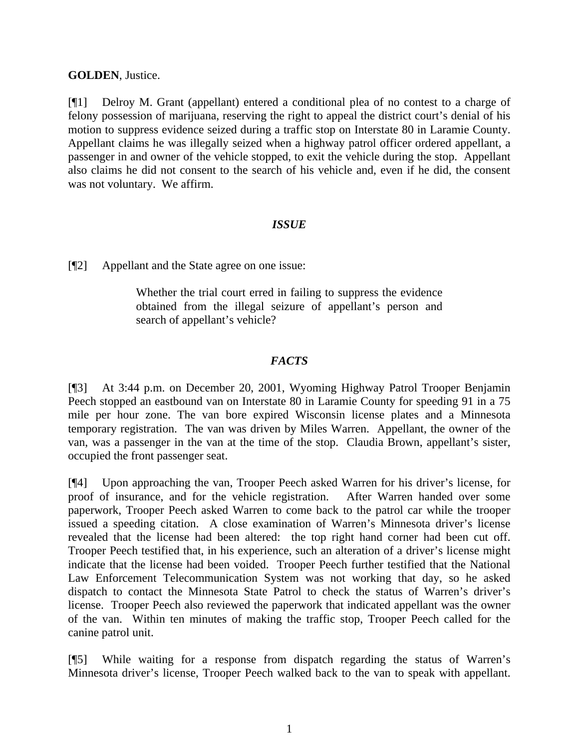### **GOLDEN**, Justice.

[¶1] Delroy M. Grant (appellant) entered a conditional plea of no contest to a charge of felony possession of marijuana, reserving the right to appeal the district court's denial of his motion to suppress evidence seized during a traffic stop on Interstate 80 in Laramie County. Appellant claims he was illegally seized when a highway patrol officer ordered appellant, a passenger in and owner of the vehicle stopped, to exit the vehicle during the stop. Appellant also claims he did not consent to the search of his vehicle and, even if he did, the consent was not voluntary. We affirm.

# *ISSUE*

[¶2] Appellant and the State agree on one issue:

Whether the trial court erred in failing to suppress the evidence obtained from the illegal seizure of appellant's person and search of appellant's vehicle?

# *FACTS*

[¶3] At 3:44 p.m. on December 20, 2001, Wyoming Highway Patrol Trooper Benjamin Peech stopped an eastbound van on Interstate 80 in Laramie County for speeding 91 in a 75 mile per hour zone. The van bore expired Wisconsin license plates and a Minnesota temporary registration. The van was driven by Miles Warren. Appellant, the owner of the van, was a passenger in the van at the time of the stop. Claudia Brown, appellant's sister, occupied the front passenger seat.

[¶4] Upon approaching the van, Trooper Peech asked Warren for his driver's license, for proof of insurance, and for the vehicle registration. After Warren handed over some paperwork, Trooper Peech asked Warren to come back to the patrol car while the trooper issued a speeding citation. A close examination of Warren's Minnesota driver's license revealed that the license had been altered: the top right hand corner had been cut off. Trooper Peech testified that, in his experience, such an alteration of a driver's license might indicate that the license had been voided. Trooper Peech further testified that the National Law Enforcement Telecommunication System was not working that day, so he asked dispatch to contact the Minnesota State Patrol to check the status of Warren's driver's license. Trooper Peech also reviewed the paperwork that indicated appellant was the owner of the van. Within ten minutes of making the traffic stop, Trooper Peech called for the canine patrol unit.

[¶5] While waiting for a response from dispatch regarding the status of Warren's Minnesota driver's license, Trooper Peech walked back to the van to speak with appellant.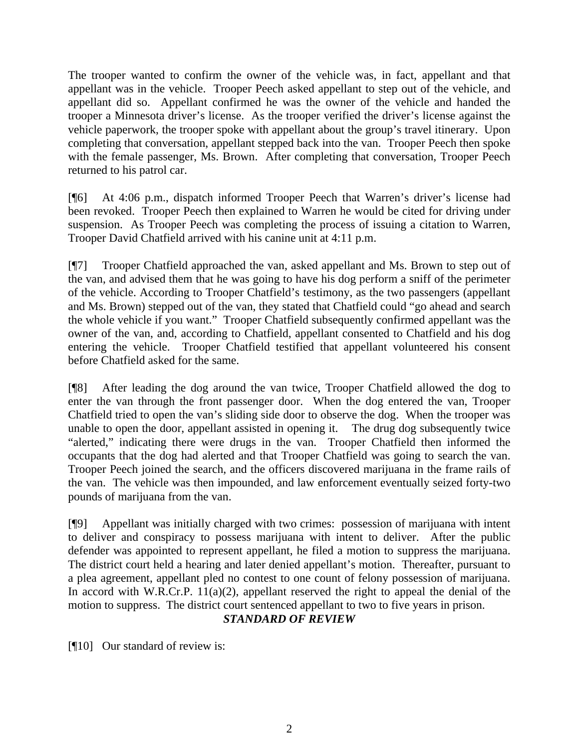The trooper wanted to confirm the owner of the vehicle was, in fact, appellant and that appellant was in the vehicle. Trooper Peech asked appellant to step out of the vehicle, and appellant did so. Appellant confirmed he was the owner of the vehicle and handed the trooper a Minnesota driver's license. As the trooper verified the driver's license against the vehicle paperwork, the trooper spoke with appellant about the group's travel itinerary. Upon completing that conversation, appellant stepped back into the van. Trooper Peech then spoke with the female passenger, Ms. Brown. After completing that conversation, Trooper Peech returned to his patrol car.

[¶6] At 4:06 p.m., dispatch informed Trooper Peech that Warren's driver's license had been revoked. Trooper Peech then explained to Warren he would be cited for driving under suspension. As Trooper Peech was completing the process of issuing a citation to Warren, Trooper David Chatfield arrived with his canine unit at 4:11 p.m.

[¶7] Trooper Chatfield approached the van, asked appellant and Ms. Brown to step out of the van, and advised them that he was going to have his dog perform a sniff of the perimeter of the vehicle. According to Trooper Chatfield's testimony, as the two passengers (appellant and Ms. Brown) stepped out of the van, they stated that Chatfield could "go ahead and search the whole vehicle if you want." Trooper Chatfield subsequently confirmed appellant was the owner of the van, and, according to Chatfield, appellant consented to Chatfield and his dog entering the vehicle. Trooper Chatfield testified that appellant volunteered his consent before Chatfield asked for the same.

[¶8] After leading the dog around the van twice, Trooper Chatfield allowed the dog to enter the van through the front passenger door. When the dog entered the van, Trooper Chatfield tried to open the van's sliding side door to observe the dog. When the trooper was unable to open the door, appellant assisted in opening it. The drug dog subsequently twice "alerted," indicating there were drugs in the van. Trooper Chatfield then informed the occupants that the dog had alerted and that Trooper Chatfield was going to search the van. Trooper Peech joined the search, and the officers discovered marijuana in the frame rails of the van. The vehicle was then impounded, and law enforcement eventually seized forty-two pounds of marijuana from the van.

[¶9] Appellant was initially charged with two crimes: possession of marijuana with intent to deliver and conspiracy to possess marijuana with intent to deliver. After the public defender was appointed to represent appellant, he filed a motion to suppress the marijuana. The district court held a hearing and later denied appellant's motion. Thereafter, pursuant to a plea agreement, appellant pled no contest to one count of felony possession of marijuana. In accord with W.R.Cr.P.  $11(a)(2)$ , appellant reserved the right to appeal the denial of the motion to suppress. The district court sentenced appellant to two to five years in prison. *STANDARD OF REVIEW* 

[¶10] Our standard of review is: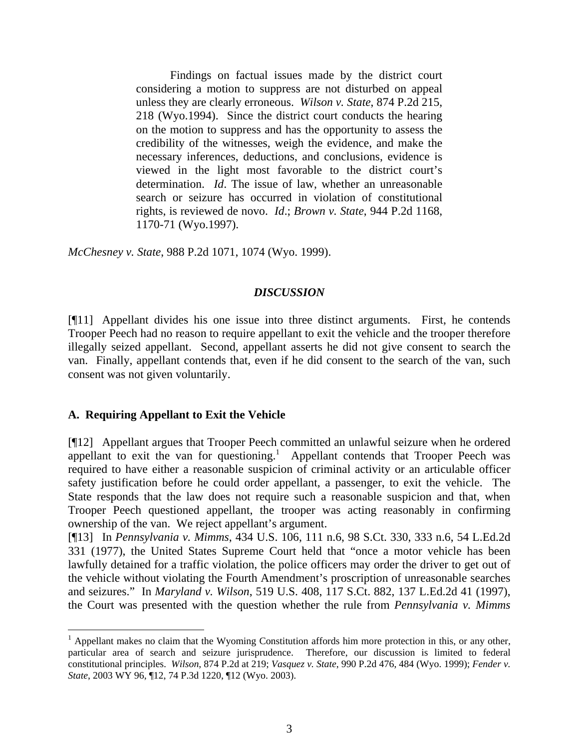Findings on factual issues made by the district court considering a motion to suppress are not disturbed on appeal unless they are clearly erroneous. *Wilson v. State*, 874 P.2d 215, 218 (Wyo.1994). Since the district court conducts the hearing on the motion to suppress and has the opportunity to assess the credibility of the witnesses, weigh the evidence, and make the necessary inferences, deductions, and conclusions, evidence is viewed in the light most favorable to the district court's determination. *Id*. The issue of law, whether an unreasonable search or seizure has occurred in violation of constitutional rights, is reviewed de novo. *Id*.; *Brown v. State*, 944 P.2d 1168, 1170-71 (Wyo.1997).

*McChesney v. State*, 988 P.2d 1071, 1074 (Wyo. 1999).

#### *DISCUSSION*

[¶11] Appellant divides his one issue into three distinct arguments. First, he contends Trooper Peech had no reason to require appellant to exit the vehicle and the trooper therefore illegally seized appellant. Second, appellant asserts he did not give consent to search the van. Finally, appellant contends that, even if he did consent to the search of the van, such consent was not given voluntarily.

### **A. Requiring Appellant to Exit the Vehicle**

 $\overline{a}$ 

[¶12] Appellant argues that Trooper Peech committed an unlawful seizure when he ordered appellant to exit the van for questioning.<sup>1</sup> Appellant contends that Trooper Peech was required to have either a reasonable suspicion of criminal activity or an articulable officer safety justification before he could order appellant, a passenger, to exit the vehicle. The State responds that the law does not require such a reasonable suspicion and that, when Trooper Peech questioned appellant, the trooper was acting reasonably in confirming ownership of the van. We reject appellant's argument.

[¶13] In *Pennsylvania v. Mimms*, 434 U.S. 106, 111 n.6, 98 S.Ct. 330, 333 n.6, 54 L.Ed.2d 331 (1977), the United States Supreme Court held that "once a motor vehicle has been lawfully detained for a traffic violation, the police officers may order the driver to get out of the vehicle without violating the Fourth Amendment's proscription of unreasonable searches and seizures." In *Maryland v. Wilson*, 519 U.S. 408, 117 S.Ct. 882, 137 L.Ed.2d 41 (1997), the Court was presented with the question whether the rule from *Pennsylvania v. Mimms*

<sup>&</sup>lt;sup>1</sup> Appellant makes no claim that the Wyoming Constitution affords him more protection in this, or any other, particular area of search and seizure jurisprudence. Therefore, our discussion is limited to federal constitutional principles. *Wilson*, 874 P.2d at 219; *Vasquez v. State*, 990 P.2d 476, 484 (Wyo. 1999); *Fender v. State*, 2003 WY 96, ¶12, 74 P.3d 1220, ¶12 (Wyo. 2003).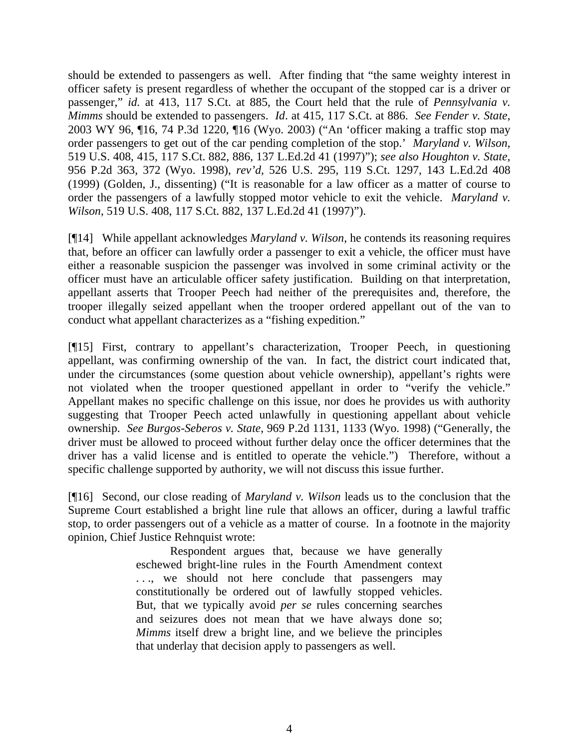should be extended to passengers as well. After finding that "the same weighty interest in officer safety is present regardless of whether the occupant of the stopped car is a driver or passenger," *id.* at 413, 117 S.Ct. at 885, the Court held that the rule of *Pennsylvania v. Mimms* should be extended to passengers. *Id*. at 415, 117 S.Ct. at 886. *See Fender v. State*, 2003 WY 96, ¶16, 74 P.3d 1220, ¶16 (Wyo. 2003) ("An 'officer making a traffic stop may order passengers to get out of the car pending completion of the stop.' *Maryland v. Wilson*, 519 U.S. 408, 415, 117 S.Ct. 882, 886, 137 L.Ed.2d 41 (1997)"); *see also Houghton v. State*, 956 P.2d 363, 372 (Wyo. 1998), *rev'd,* 526 U.S. 295, 119 S.Ct. 1297, 143 L.Ed.2d 408 (1999) (Golden, J., dissenting) ("It is reasonable for a law officer as a matter of course to order the passengers of a lawfully stopped motor vehicle to exit the vehicle. *Maryland v. Wilson*, 519 U.S. 408, 117 S.Ct. 882, 137 L.Ed.2d 41 (1997)").

[¶14] While appellant acknowledges *Maryland v. Wilson*, he contends its reasoning requires that, before an officer can lawfully order a passenger to exit a vehicle, the officer must have either a reasonable suspicion the passenger was involved in some criminal activity or the officer must have an articulable officer safety justification. Building on that interpretation, appellant asserts that Trooper Peech had neither of the prerequisites and, therefore, the trooper illegally seized appellant when the trooper ordered appellant out of the van to conduct what appellant characterizes as a "fishing expedition."

[¶15] First, contrary to appellant's characterization, Trooper Peech, in questioning appellant, was confirming ownership of the van. In fact, the district court indicated that, under the circumstances (some question about vehicle ownership), appellant's rights were not violated when the trooper questioned appellant in order to "verify the vehicle." Appellant makes no specific challenge on this issue, nor does he provides us with authority suggesting that Trooper Peech acted unlawfully in questioning appellant about vehicle ownership. *See Burgos-Seberos v. State*, 969 P.2d 1131, 1133 (Wyo. 1998) ("Generally, the driver must be allowed to proceed without further delay once the officer determines that the driver has a valid license and is entitled to operate the vehicle.") Therefore, without a specific challenge supported by authority, we will not discuss this issue further.

[¶16] Second, our close reading of *Maryland v. Wilson* leads us to the conclusion that the Supreme Court established a bright line rule that allows an officer, during a lawful traffic stop, to order passengers out of a vehicle as a matter of course. In a footnote in the majority opinion, Chief Justice Rehnquist wrote:

> Respondent argues that, because we have generally eschewed bright-line rules in the Fourth Amendment context ..., we should not here conclude that passengers may constitutionally be ordered out of lawfully stopped vehicles. But, that we typically avoid *per se* rules concerning searches and seizures does not mean that we have always done so; *Mimms* itself drew a bright line, and we believe the principles that underlay that decision apply to passengers as well.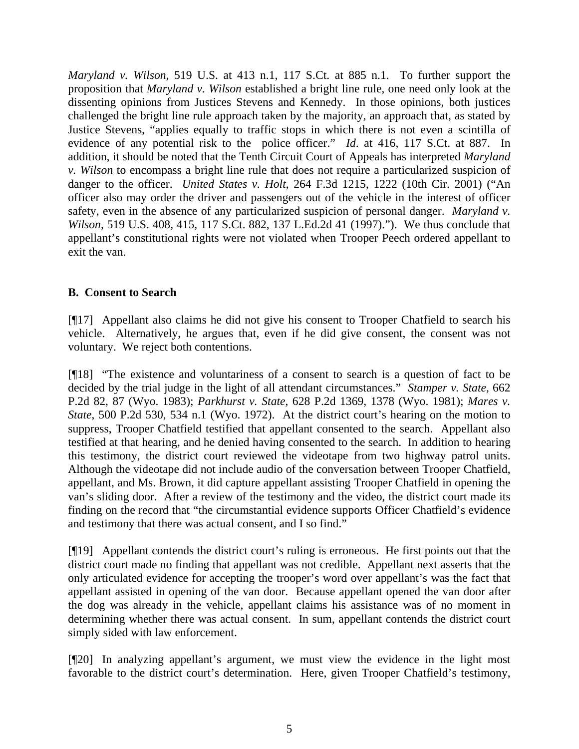*Maryland v. Wilson*, 519 U.S. at 413 n.1, 117 S.Ct. at 885 n.1. To further support the proposition that *Maryland v. Wilson* established a bright line rule, one need only look at the dissenting opinions from Justices Stevens and Kennedy. In those opinions, both justices challenged the bright line rule approach taken by the majority, an approach that, as stated by Justice Stevens, "applies equally to traffic stops in which there is not even a scintilla of evidence of any potential risk to the police officer." *Id*. at 416, 117 S.Ct. at 887. In addition, it should be noted that the Tenth Circuit Court of Appeals has interpreted *Maryland v. Wilson* to encompass a bright line rule that does not require a particularized suspicion of danger to the officer. *United States v. Holt*, 264 F.3d 1215, 1222 (10th Cir. 2001) ("An officer also may order the driver and passengers out of the vehicle in the interest of officer safety, even in the absence of any particularized suspicion of personal danger. *Maryland v. Wilson*, 519 U.S. 408, 415, 117 S.Ct. 882, 137 L.Ed.2d 41 (1997)."). We thus conclude that appellant's constitutional rights were not violated when Trooper Peech ordered appellant to exit the van.

# **B. Consent to Search**

[¶17] Appellant also claims he did not give his consent to Trooper Chatfield to search his vehicle. Alternatively, he argues that, even if he did give consent, the consent was not voluntary. We reject both contentions.

[¶18] "The existence and voluntariness of a consent to search is a question of fact to be decided by the trial judge in the light of all attendant circumstances." *Stamper v. State*, 662 P.2d 82, 87 (Wyo. 1983); *Parkhurst v. State*, 628 P.2d 1369, 1378 (Wyo. 1981); *Mares v. State*, 500 P.2d 530, 534 n.1 (Wyo. 1972). At the district court's hearing on the motion to suppress, Trooper Chatfield testified that appellant consented to the search. Appellant also testified at that hearing, and he denied having consented to the search. In addition to hearing this testimony, the district court reviewed the videotape from two highway patrol units. Although the videotape did not include audio of the conversation between Trooper Chatfield, appellant, and Ms. Brown, it did capture appellant assisting Trooper Chatfield in opening the van's sliding door. After a review of the testimony and the video, the district court made its finding on the record that "the circumstantial evidence supports Officer Chatfield's evidence and testimony that there was actual consent, and I so find."

[¶19] Appellant contends the district court's ruling is erroneous. He first points out that the district court made no finding that appellant was not credible. Appellant next asserts that the only articulated evidence for accepting the trooper's word over appellant's was the fact that appellant assisted in opening of the van door. Because appellant opened the van door after the dog was already in the vehicle, appellant claims his assistance was of no moment in determining whether there was actual consent. In sum, appellant contends the district court simply sided with law enforcement.

[¶20] In analyzing appellant's argument, we must view the evidence in the light most favorable to the district court's determination. Here, given Trooper Chatfield's testimony,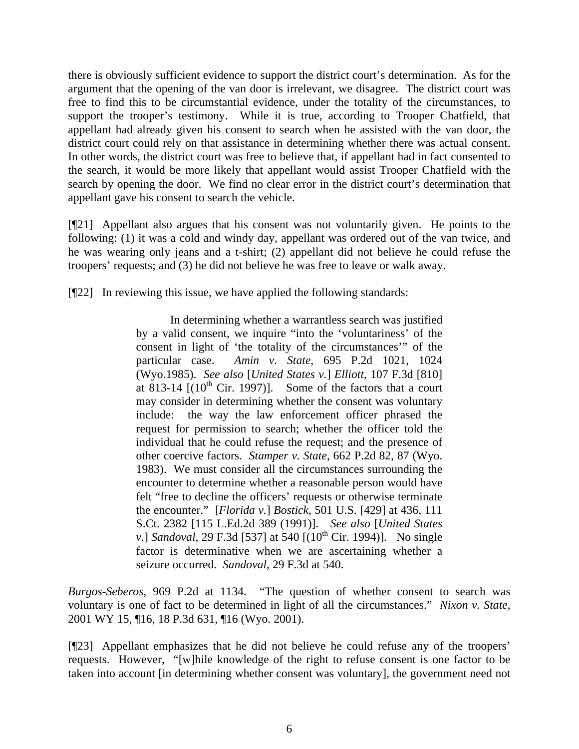there is obviously sufficient evidence to support the district court's determination. As for the argument that the opening of the van door is irrelevant, we disagree. The district court was free to find this to be circumstantial evidence, under the totality of the circumstances, to support the trooper's testimony. While it is true, according to Trooper Chatfield, that appellant had already given his consent to search when he assisted with the van door, the district court could rely on that assistance in determining whether there was actual consent. In other words, the district court was free to believe that, if appellant had in fact consented to the search, it would be more likely that appellant would assist Trooper Chatfield with the search by opening the door. We find no clear error in the district court's determination that appellant gave his consent to search the vehicle.

[¶21] Appellant also argues that his consent was not voluntarily given. He points to the following: (1) it was a cold and windy day, appellant was ordered out of the van twice, and he was wearing only jeans and a t-shirt; (2) appellant did not believe he could refuse the troopers' requests; and (3) he did not believe he was free to leave or walk away.

[¶22] In reviewing this issue, we have applied the following standards:

In determining whether a warrantless search was justified by a valid consent, we inquire "into the 'voluntariness' of the consent in light of 'the totality of the circumstances'" of the particular case. *Amin v. State*, 695 P.2d 1021, 1024 (Wyo.1985). *See also* [*United States v.*] *Elliott*, 107 F.3d [810] at  $813-14$   $[(10<sup>th</sup> Cir. 1997)]$ . Some of the factors that a court may consider in determining whether the consent was voluntary include: the way the law enforcement officer phrased the request for permission to search; whether the officer told the individual that he could refuse the request; and the presence of other coercive factors. *Stamper v. State*, 662 P.2d 82, 87 (Wyo. 1983). We must consider all the circumstances surrounding the encounter to determine whether a reasonable person would have felt "free to decline the officers' requests or otherwise terminate the encounter." [*Florida v.*] *Bostick*, 501 U.S. [429] at 436, 111 S.Ct. 2382 [115 L.Ed.2d 389 (1991)]. *See also* [*United States v.*] *Sandoval*, 29 F.3d [537] at 540 [(10<sup>th</sup> Cir. 1994)]. No single factor is determinative when we are ascertaining whether a seizure occurred. *Sandoval*, 29 F.3d at 540.

*Burgos-Seberos,* 969 P.2d at 1134. "The question of whether consent to search was voluntary is one of fact to be determined in light of all the circumstances." *Nixon v. State*, 2001 WY 15, ¶16, 18 P.3d 631, ¶16 (Wyo. 2001).

[¶23] Appellant emphasizes that he did not believe he could refuse any of the troopers' requests. However, "[w]hile knowledge of the right to refuse consent is one factor to be taken into account [in determining whether consent was voluntary], the government need not